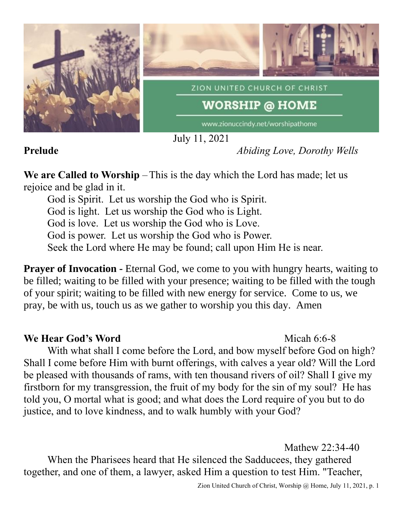

July 11, 2021

## **Prelude** *Abiding Love, Dorothy Wells*

**We are Called to Worship** –This is the day which the Lord has made; let us rejoice and be glad in it.

God is Spirit. Let us worship the God who is Spirit. God is light. Let us worship the God who is Light. God is love. Let us worship the God who is Love. God is power. Let us worship the God who is Power. Seek the Lord where He may be found; call upon Him He is near.

**Prayer of Invocation -** Eternal God, we come to you with hungry hearts, waiting to be filled; waiting to be filled with your presence; waiting to be filled with the tough of your spirit; waiting to be filled with new energy for service. Come to us, we pray, be with us, touch us as we gather to worship you this day. Amen

## **We Hear God's Word** Micah 6:6-8

With what shall I come before the Lord, and bow myself before God on high? Shall I come before Him with burnt offerings, with calves a year old? Will the Lord be pleased with thousands of rams, with ten thousand rivers of oil? Shall I give my firstborn for my transgression, the fruit of my body for the sin of my soul? He has told you, O mortal what is good; and what does the Lord require of you but to do justice, and to love kindness, and to walk humbly with your God?

Mathew 22:34-40 When the Pharisees heard that He silenced the Sadducees, they gathered together, and one of them, a lawyer, asked Him a question to test Him. "Teacher,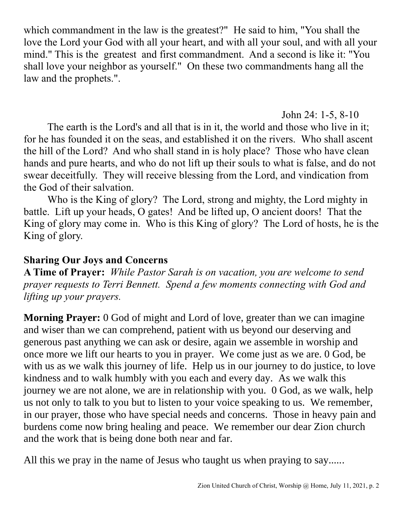which commandment in the law is the greatest?" He said to him, "You shall the love the Lord your God with all your heart, and with all your soul, and with all your mind." This is the greatest and first commandment. And a second is like it: "You shall love your neighbor as yourself." On these two commandments hang all the law and the prophets.".

John 24: 1-5, 8-10

The earth is the Lord's and all that is in it, the world and those who live in it; for he has founded it on the seas, and established it on the rivers. Who shall ascent the hill of the Lord? And who shall stand in is holy place? Those who have clean hands and pure hearts, and who do not lift up their souls to what is false, and do not swear deceitfully. They will receive blessing from the Lord, and vindication from the God of their salvation.

Who is the King of glory? The Lord, strong and mighty, the Lord mighty in battle. Lift up your heads, O gates! And be lifted up, O ancient doors! That the King of glory may come in. Who is this King of glory? The Lord of hosts, he is the King of glory.

### **Sharing Our Joys and Concerns**

**A Time of Prayer:** *While Pastor Sarah is on vacation, you are welcome to send prayer requests to Terri Bennett. Spend a few moments connecting with God and lifting up your prayers.*

**Morning Prayer:** 0 God of might and Lord of love, greater than we can imagine and wiser than we can comprehend, patient with us beyond our deserving and generous past anything we can ask or desire, again we assemble in worship and once more we lift our hearts to you in prayer. We come just as we are. 0 God, be with us as we walk this journey of life. Help us in our journey to do justice, to love kindness and to walk humbly with you each and every day. As we walk this journey we are not alone, we are in relationship with you. 0 God, as we walk, help us not only to talk to you but to listen to your voice speaking to us. We remember, in our prayer, those who have special needs and concerns. Those in heavy pain and burdens come now bring healing and peace. We remember our dear Zion church and the work that is being done both near and far.

All this we pray in the name of Jesus who taught us when praying to say......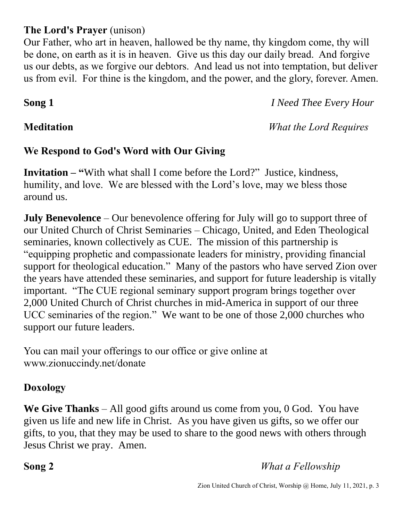## **The Lord's Prayer** (unison)

Our Father, who art in heaven, hallowed be thy name, thy kingdom come, thy will be done, on earth as it is in heaven. Give us this day our daily bread. And forgive us our debts, as we forgive our debtors. And lead us not into temptation, but deliver us from evil. For thine is the kingdom, and the power, and the glory, forever. Amen.

**Song 1** *I Need Thee Every Hour*

**Meditation** *What the Lord Requires*

# **We Respond to God's Word with Our Giving**

**Invitation – "**With what shall I come before the Lord?" Justice, kindness, humility, and love. We are blessed with the Lord's love, may we bless those around us.

**July Benevolence** – Our benevolence offering for July will go to support three of our United Church of Christ Seminaries – Chicago, United, and Eden Theological seminaries, known collectively as CUE. The mission of this partnership is "equipping prophetic and compassionate leaders for ministry, providing financial support for theological education." Many of the pastors who have served Zion over the years have attended these seminaries, and support for future leadership is vitally important. "The CUE regional seminary support program brings together over 2,000 United Church of Christ churches in mid-America in support of our three UCC seminaries of the region." We want to be one of those 2,000 churches who support our future leaders.

You can mail your offerings to our office or give online at www.zionuccindy.net/donate

## **Doxology**

**We Give Thanks** – All good gifts around us come from you, 0 God. You have given us life and new life in Christ. As you have given us gifts, so we offer our gifts, to you, that they may be used to share to the good news with others through Jesus Christ we pray. Amen.

**Song 2** *What a Fellowship*